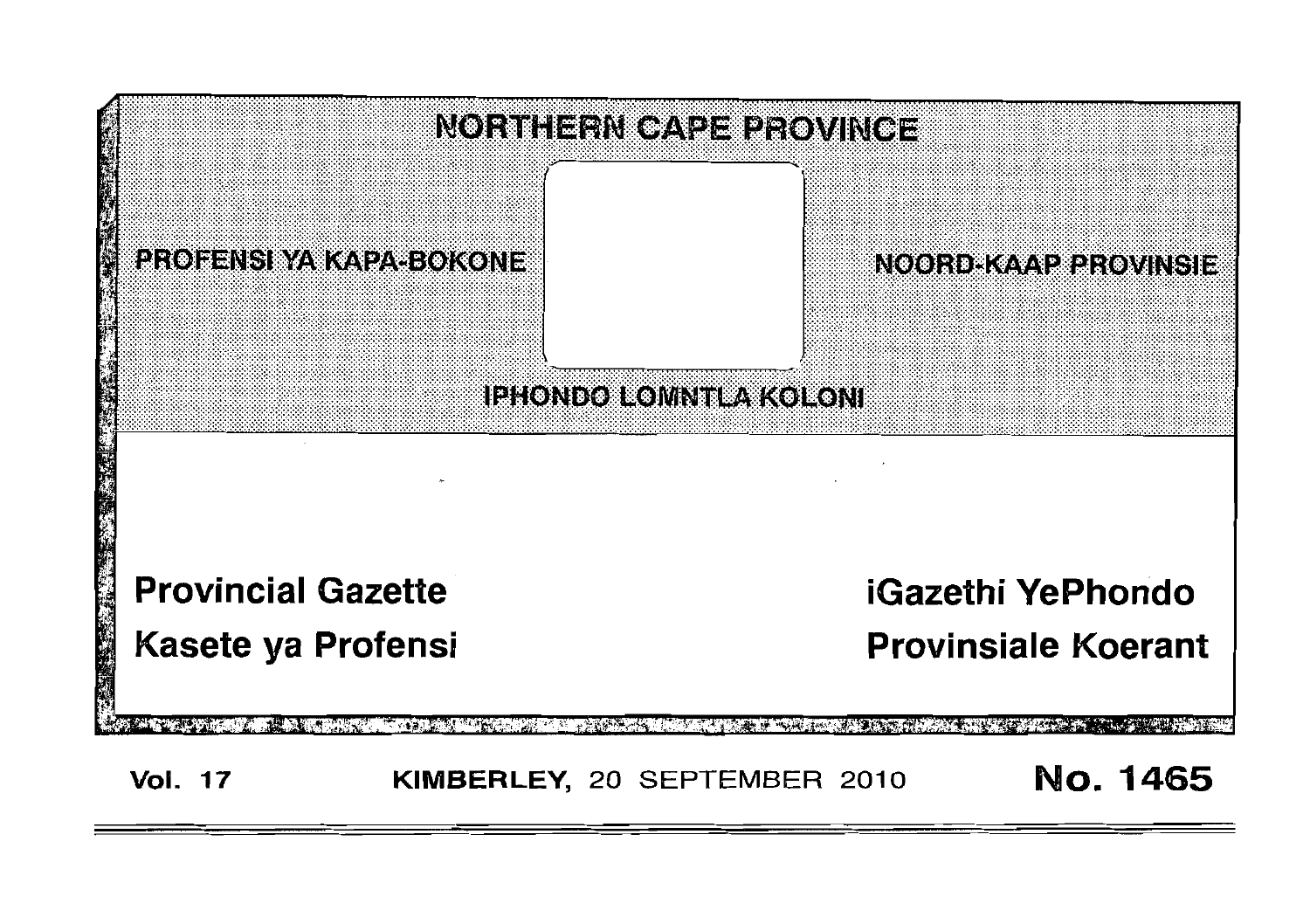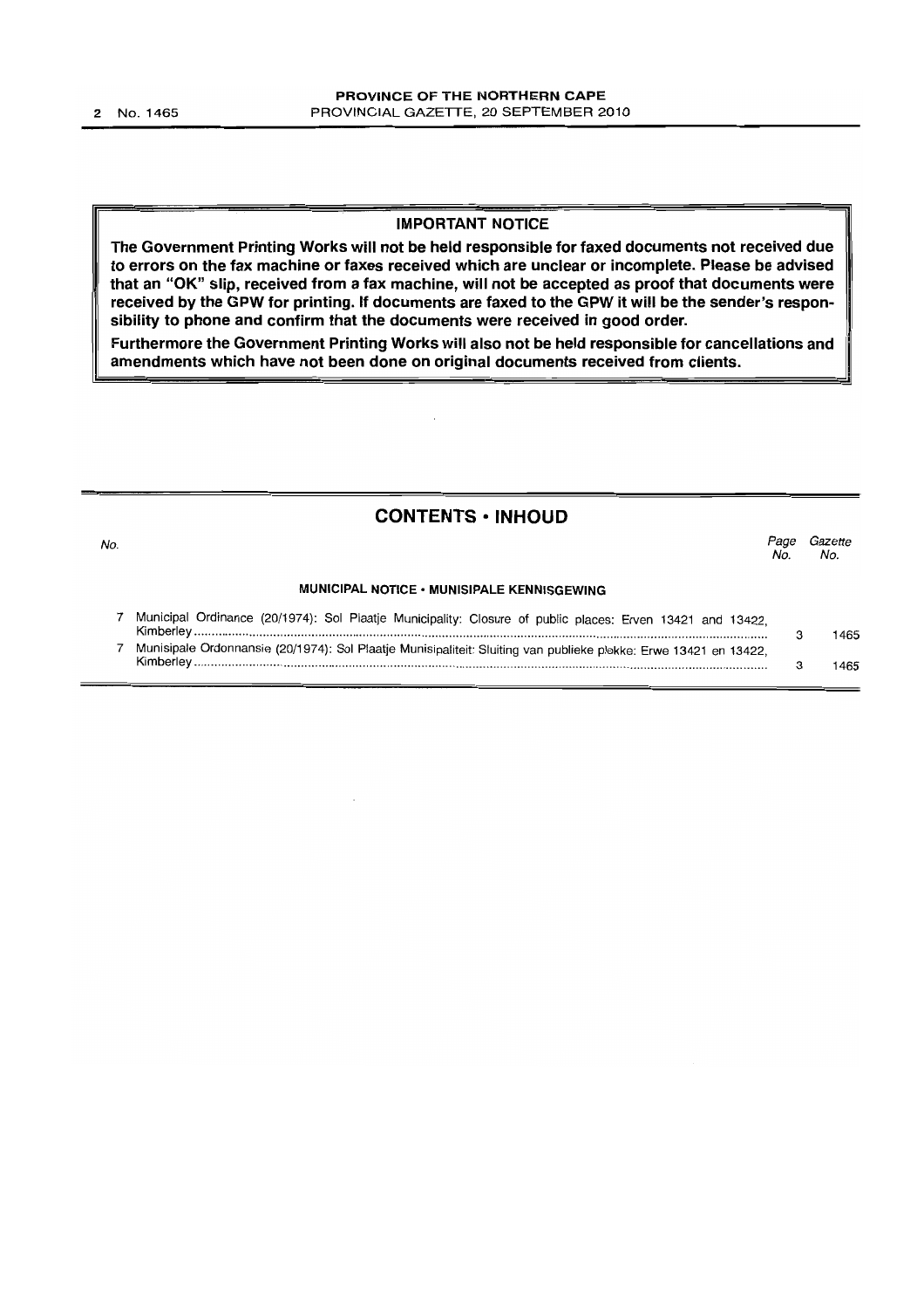#### IMPORTANT NOTICE

The Government Printing Works will not be held responsible for faxed documents not received due to errors on the fax machine or faxes received which are unclear or incomplete. Please be advised that an "OK" slip, received from a fax machine, will not be accepted as proof that documents were received by the GPW for printing. If documents are faxed to the GPW it will be the sender's responsibility to phone and confirm that the documents were received in good order.

Furthermore the Government Printing Works will also not be held responsible for cancellations and amendments which have not been done on original documents received from clients.

#### CONTENTS • INHOUD

| No. |                                                                                                                                                                                                                                                       | Page<br>No. | Gazette<br>No. |  |
|-----|-------------------------------------------------------------------------------------------------------------------------------------------------------------------------------------------------------------------------------------------------------|-------------|----------------|--|
|     | MUNICIPAL NOTICE • MUNISIPALE KENNISGEWING                                                                                                                                                                                                            |             |                |  |
|     | Municipal Ordinance (20/1974): Sol Plaatje Municipality: Closure of public places: Erven 13421 and 13422,                                                                                                                                             |             | 1465           |  |
|     | $7 - M$ upicinele Ordennessia (00/1074), O-1 Dissis $M_{\text{eff}}$ is $M_{\text{eff}}$ of $M_{\text{eff}}$ . The contract of the contract of the contract of the contract of the contract of the contract of the contract of the contract of the co |             |                |  |

7 Munnansie (20/1974): Sol Plaatje Munisipaliteit: Sluiting van publieke plekke: Erwe 13421 en 13422, Kimberley ...................................................................................................................................................................... . 3 1465